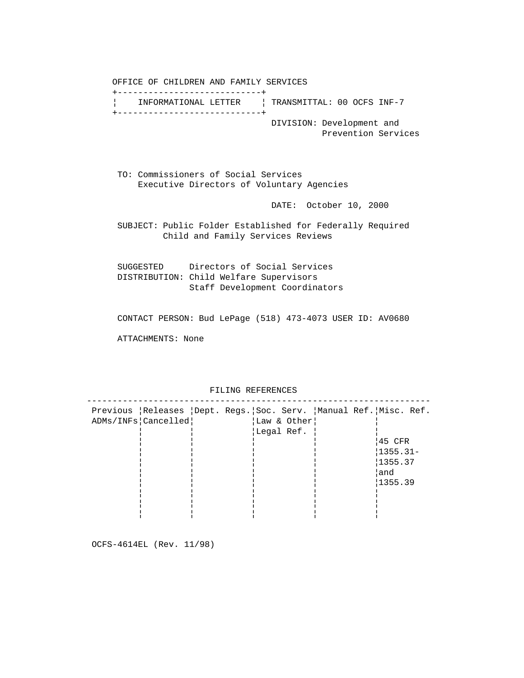OFFICE OF CHILDREN AND FAMILY SERVICES +----------------------------+ ¦ INFORMATIONAL LETTER ¦ TRANSMITTAL: 00 OCFS INF-7 +----------------------------+ DIVISION: Development and Prevention Services

 TO: Commissioners of Social Services Executive Directors of Voluntary Agencies

DATE: October 10, 2000

 SUBJECT: Public Folder Established for Federally Required Child and Family Services Reviews

 SUGGESTED Directors of Social Services DISTRIBUTION: Child Welfare Supervisors Staff Development Coordinators

CONTACT PERSON: Bud LePage (518) 473-4073 USER ID: AV0680

ATTACHMENTS: None

 ------------------------------------------------------------------- Previous ¦Releases ¦Dept. Regs.¦Soc. Serv. ¦Manual Ref.¦Misc. Ref. ADMs/INFs|Cancelled| | |Law & Other| | ¦ ¦ ¦Legal Ref. ¦ ¦ ¦ ¦ ¦¦ ¦¦ ¦¦45 CFR ¦¦ ¦¦ ¦¦ ¦¦ ¦¦1355.31- ¦¦ ¦¦ ¦¦ ¦¦ ¦¦1355.37 ¦¦ ¦¦ ¦¦ ¦¦ ¦¦and ¦¦ ¦¦ ¦¦ ¦¦ ¦¦1355.39 ¦¦ ¦¦ ¦¦ ¦¦ ¦¦ ¦ ¦ ¦ ¦ ¦ ¦ ¦ ¦ ¦ ¦

FILING REFERENCES

OCFS-4614EL (Rev. 11/98)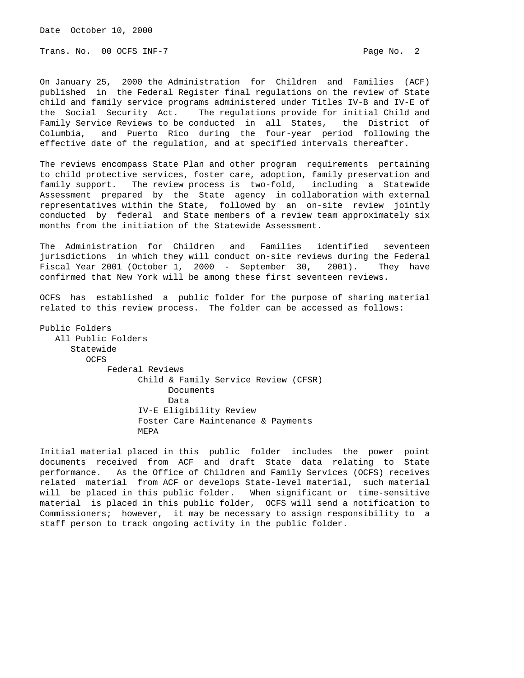Date October 10, 2000

Trans. No. 00 OCFS INF-7 Page No. 2

On January 25, 2000 the Administration for Children and Families (ACF) published in the Federal Register final regulations on the review of State child and family service programs administered under Titles IV-B and IV-E of the Social Security Act. The regulations provide for initial Child and Family Service Reviews to be conducted in all States, the District of Columbia, and Puerto Rico during the four-year period following the effective date of the regulation, and at specified intervals thereafter.

The reviews encompass State Plan and other program requirements pertaining to child protective services, foster care, adoption, family preservation and family support. The review process is two-fold, including a Statewide Assessment prepared by the State agency in collaboration with external representatives within the State, followed by an on-site review jointly conducted by federal and State members of a review team approximately six months from the initiation of the Statewide Assessment.

The Administration for Children and Families identified seventeen jurisdictions in which they will conduct on-site reviews during the Federal Fiscal Year 2001 (October 1, 2000 - September 30, 2001). They have confirmed that New York will be among these first seventeen reviews.

OCFS has established a public folder for the purpose of sharing material related to this review process. The folder can be accessed as follows:

Public Folders All Public Folders Statewide OCFS Federal Reviews Child & Family Service Review (CFSR) Documents Data IV-E Eligibility Review Foster Care Maintenance & Payments MEPA

Initial material placed in this public folder includes the power point documents received from ACF and draft State data relating to State performance. As the Office of Children and Family Services (OCFS) receives related material from ACF or develops State-level material, such material will be placed in this public folder. When significant or time-sensitive material is placed in this public folder, OCFS will send a notification to Commissioners; however, it may be necessary to assign responsibility to a staff person to track ongoing activity in the public folder.